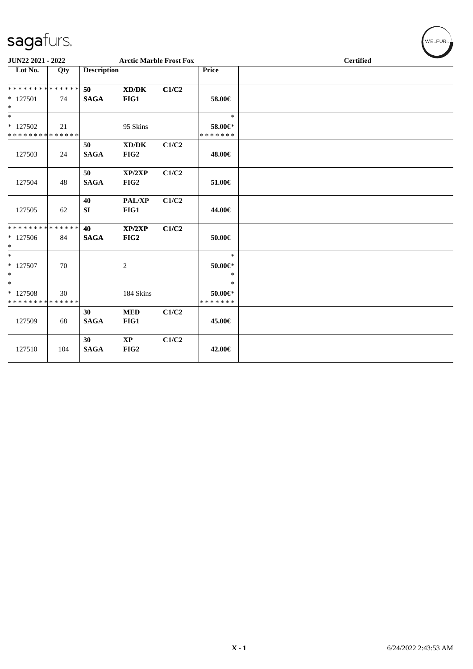| <b>JUN22 2021 - 2022</b>                            |     |                                | <b>Arctic Marble Frost Fox</b> |       |                                    |  | <b>Certified</b> |  |  |  |  |
|-----------------------------------------------------|-----|--------------------------------|--------------------------------|-------|------------------------------------|--|------------------|--|--|--|--|
| Lot No.                                             | Qty | <b>Description</b>             |                                |       | <b>Price</b>                       |  |                  |  |  |  |  |
| * * * * * * * * * * * * * * *                       |     | 50                             | XD/DK                          | C1/C2 |                                    |  |                  |  |  |  |  |
| $*$ 127501<br>$*$                                   | 74  | <b>SAGA</b>                    | FIG1                           |       | 58.00€                             |  |                  |  |  |  |  |
| $\overline{\ast}$                                   |     |                                |                                |       | $\ast$                             |  |                  |  |  |  |  |
| $*127502$<br>* * * * * * * * * * * * * * *          | 21  |                                | 95 Skins                       |       | 58.00€*<br>* * * * * * *           |  |                  |  |  |  |  |
| 127503                                              | 24  | 50<br><b>SAGA</b>              | XD/DK<br>FIG2                  | C1/C2 | 48.00€                             |  |                  |  |  |  |  |
| 127504                                              | 48  | 50<br><b>SAGA</b>              | XP/2XP<br>FIG2                 | C1/C2 | 51.00€                             |  |                  |  |  |  |  |
| 127505                                              | 62  | 40<br>SI                       | <b>PAL/XP</b><br>FIG1          | C1/C2 | 44.00€                             |  |                  |  |  |  |  |
| ******** <mark>******</mark><br>$*127506$<br>$\ast$ | 84  | 40<br><b>SAGA</b>              | XP/2XP<br>FIG2                 | C1/C2 | 50.00€                             |  |                  |  |  |  |  |
| $\overline{\phantom{0}}$<br>* 127507<br>$*$         | 70  |                                | 2                              |       | $\ast$<br>50.00€*<br>$\ast$        |  |                  |  |  |  |  |
| $*$<br>* 127508<br>* * * * * * * * * * * * * *      | 30  |                                | 184 Skins                      |       | $\ast$<br>50.00€*<br>* * * * * * * |  |                  |  |  |  |  |
| 127509                                              | 68  | 30<br><b>SAGA</b>              | <b>MED</b><br>FIG1             | C1/C2 | 45.00€                             |  |                  |  |  |  |  |
| 127510                                              | 104 | 30 <sup>°</sup><br><b>SAGA</b> | $\mathbf{X}\mathbf{P}$<br>FIG2 | C1/C2 | 42.00€                             |  |                  |  |  |  |  |
|                                                     |     |                                |                                |       |                                    |  |                  |  |  |  |  |

 $\left(\begin{smallmatrix} \mathsf{WELFLR}_{\mathbb{W}}\end{smallmatrix}\right)$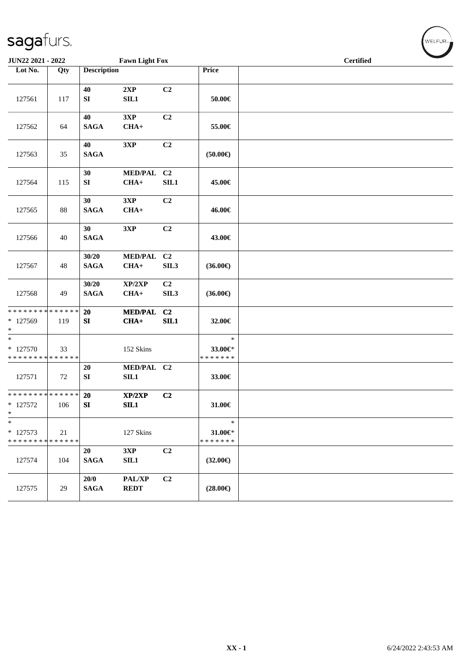| JUN22 2021 - 2022                                            |     |                      | <b>Fawn Light Fox</b>                     |                                    |                                    | <b>Certified</b> |  |  |  |  |
|--------------------------------------------------------------|-----|----------------------|-------------------------------------------|------------------------------------|------------------------------------|------------------|--|--|--|--|
| Lot No.                                                      | Qty | <b>Description</b>   |                                           |                                    | Price                              |                  |  |  |  |  |
| 127561                                                       | 117 | 40<br>SI             | 2XP<br>SL1                                | C2                                 | $50.00\in$                         |                  |  |  |  |  |
| 127562                                                       | 64  | 40<br><b>SAGA</b>    | 3XP<br>$CHA+$                             | C <sub>2</sub>                     | 55.00€                             |                  |  |  |  |  |
| 127563                                                       | 35  | 40<br><b>SAGA</b>    | 3XP                                       | C <sub>2</sub>                     | (50.00)                            |                  |  |  |  |  |
| 127564                                                       | 115 | 30<br>SI             | MED/PAL C2<br>$CHA+$                      | SIL1                               | 45.00€                             |                  |  |  |  |  |
| 127565                                                       | 88  | 30<br><b>SAGA</b>    | 3XP<br>$CHA+$                             | C <sub>2</sub>                     | 46.00€                             |                  |  |  |  |  |
| 127566                                                       | 40  | 30<br><b>SAGA</b>    | 3XP                                       | C <sub>2</sub>                     | 43.00€                             |                  |  |  |  |  |
| 127567                                                       | 48  | 30/20<br><b>SAGA</b> | MED/PAL C2<br>$CHA+$                      | SIL <sub>3</sub>                   | $(36.00\epsilon)$                  |                  |  |  |  |  |
| 127568                                                       | 49  | 30/20<br><b>SAGA</b> | XP/2XP<br>$CHA+$                          | C <sub>2</sub><br>SIL <sub>3</sub> | $(36.00\epsilon)$                  |                  |  |  |  |  |
| * * * * * * * * * * * * * *<br>* 127569<br>$\ast$            | 119 | 20<br>SI             | <b>MED/PAL</b><br>$CHA+$                  | C2<br>SIL1                         | 32.00€                             |                  |  |  |  |  |
| $\overline{\ast}$<br>* 127570<br>* * * * * * * * * * * * * * | 33  |                      | 152 Skins                                 |                                    | $\ast$<br>33.00€*<br>* * * * * * * |                  |  |  |  |  |
| 127571                                                       | 72  | 20<br>SI             | MED/PAL C2<br><b>SIL1</b>                 |                                    | 33.00€                             |                  |  |  |  |  |
| * * * * * * * * * * * * * *<br>$* 127572$<br>$\ast$          | 106 | 20<br>SI             | XP/2XP<br>SIL1                            | C <sub>2</sub>                     | $31.00 \in$                        |                  |  |  |  |  |
| $\ast$<br>$*127573$<br>* * * * * * * * * * * * * *           | 21  |                      | 127 Skins                                 |                                    | $\ast$<br>31.00€*<br>* * * * * * * |                  |  |  |  |  |
| 127574                                                       | 104 | 20<br><b>SAGA</b>    | 3XP<br>SL1                                | C2                                 | $(32.00\epsilon)$                  |                  |  |  |  |  |
| 127575                                                       | 29  | 20/0<br><b>SAGA</b>  | $\mathbf{PAL}/\mathbf{XP}$<br><b>REDT</b> | C2                                 | $(28.00\epsilon)$                  |                  |  |  |  |  |

 $\left(\mathsf{WELFLR}_{\mathbb{Z}}\right)$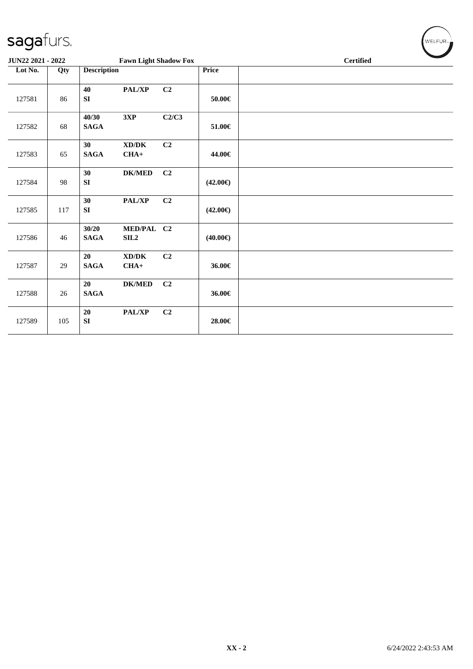| sagafurs.         |     |                      |                                               |                |                   | WELFUR <sub>™</sub> |
|-------------------|-----|----------------------|-----------------------------------------------|----------------|-------------------|---------------------|
| JUN22 2021 - 2022 |     |                      | <b>Fawn Light Shadow Fox</b>                  |                |                   | <b>Certified</b>    |
| Lot No.           | Qty | <b>Description</b>   |                                               |                | <b>Price</b>      |                     |
| 127581            | 86  | 40<br>SI             | PAL/XP                                        | C <sub>2</sub> | $50.00 \in$       |                     |
| 127582            | 68  | 40/30<br><b>SAGA</b> | 3XP                                           | C2/C3          | 51.00€            |                     |
| 127583            | 65  | 30<br><b>SAGA</b>    | $\bold{X}\bold{D}/\bold{D}\bold{K}$<br>$CHA+$ | C2             | 44.00€            |                     |
| 127584            | 98  | 30<br>${\bf SI}$     | $DK/MED$                                      | C2             | $(42.00\epsilon)$ |                     |
| 127585            | 117 | 30<br>${\bf SI}$     | PAL/XP                                        | C2             | $(42.00\epsilon)$ |                     |
| 127586            | 46  | 30/20<br><b>SAGA</b> | MED/PAL C2<br>SL2                             |                | $(40.00\epsilon)$ |                     |
| 127587            | 29  | 20<br><b>SAGA</b>    | XD/DK<br>$CHA+$                               | C2             | 36.00€            |                     |
| 127588            | 26  | 20<br><b>SAGA</b>    | <b>DK/MED</b>                                 | C2             | 36.00€            |                     |
| 127589            | 105 | 20<br>SI             | PAL/XP                                        | C2             | 28.00€            |                     |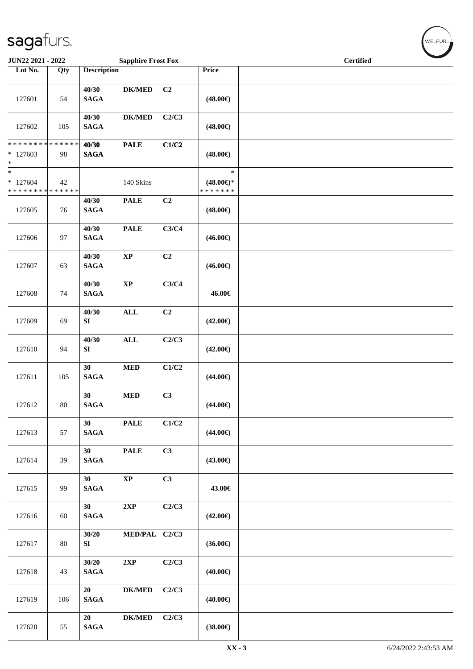| JUN22 2021 - 2022                                   |     |                          | <b>Sapphire Frost Fox</b> |                |                                                | $\overline{\phantom{0}}$<br><b>Certified</b> |  |  |  |
|-----------------------------------------------------|-----|--------------------------|---------------------------|----------------|------------------------------------------------|----------------------------------------------|--|--|--|
| Lot No.                                             | Qty | <b>Description</b>       |                           |                | Price                                          |                                              |  |  |  |
| 127601                                              | 54  | 40/30<br><b>SAGA</b>     | <b>DK/MED</b>             | C <sub>2</sub> | $(48.00\epsilon)$                              |                                              |  |  |  |
| 127602                                              | 105 | 40/30<br><b>SAGA</b>     | <b>DK/MED</b>             | C2/C3          | $(48.00\epsilon)$                              |                                              |  |  |  |
| ******** <mark>******</mark><br>$*127603$<br>$*$    | 98  | 40/30<br><b>SAGA</b>     | <b>PALE</b>               | C1/C2          | $(48.00\epsilon)$                              |                                              |  |  |  |
| $\ast$<br>$*127604$<br>******** <mark>******</mark> | 42  |                          | 140 Skins                 |                | $\ast$<br>$(48.00\epsilon)$ *<br>* * * * * * * |                                              |  |  |  |
| 127605                                              | 76  | 40/30<br><b>SAGA</b>     | <b>PALE</b>               | C2             | $(48.00\epsilon)$                              |                                              |  |  |  |
| 127606                                              | 97  | 40/30<br>$\mathbf{SAGA}$ | <b>PALE</b>               | C3/C4          | $(46.00\epsilon)$                              |                                              |  |  |  |
| 127607                                              | 63  | 40/30<br><b>SAGA</b>     | $\bold{XP}$               | C2             | $(46.00\epsilon)$                              |                                              |  |  |  |
| 127608                                              | 74  | 40/30<br>$\mathbf{SAGA}$ | $\bold{XP}$               | C3/C4          | 46.00€                                         |                                              |  |  |  |
| 127609                                              | 69  | 40/30<br>SI              | <b>ALL</b>                | C2             | $(42.00\epsilon)$                              |                                              |  |  |  |
| 127610                                              | 94  | 40/30<br>SI              | $\mathbf{ALL}$            | C2/C3          | $(42.00\epsilon)$                              |                                              |  |  |  |
| 127611                                              | 105 | 30<br><b>SAGA</b>        | $\bf MED$                 | C1/C2          | $(44.00\epsilon)$                              |                                              |  |  |  |
| 127612                                              | 80  | 30<br><b>SAGA</b>        | $\bf MED$                 | C3             | $(44.00\epsilon)$                              |                                              |  |  |  |
| 127613                                              | 57  | 30<br><b>SAGA</b>        | <b>PALE</b>               | C1/C2          | $(44.00\epsilon)$                              |                                              |  |  |  |
| 127614                                              | 39  | 30<br><b>SAGA</b>        | <b>PALE</b>               | C3             | $(43.00\epsilon)$                              |                                              |  |  |  |
| 127615                                              | 99  | 30<br><b>SAGA</b>        | $\bold{XP}$               | C3             | 43.00€                                         |                                              |  |  |  |
| 127616                                              | 60  | 30<br><b>SAGA</b>        | 2XP                       | C2/C3          | $(42.00\epsilon)$                              |                                              |  |  |  |
| 127617                                              | 80  | 30/20<br>SI              | MED/PAL C2/C3             |                | $(36.00\in)$                                   |                                              |  |  |  |
| 127618                                              | 43  | 30/20<br>$\mathbf{SAGA}$ | 2XP                       | C2/C3          | $(40.00\epsilon)$                              |                                              |  |  |  |
| 127619                                              | 106 | 20<br><b>SAGA</b>        | <b>DK/MED</b>             | C2/C3          | $(40.00\epsilon)$                              |                                              |  |  |  |
| 127620                                              | 55  | 20<br>$\mathbf{SAGA}$    | $DK/MED$                  | C2/C3          | $(38.00\in)$                                   |                                              |  |  |  |

 $(w$ ELFUR-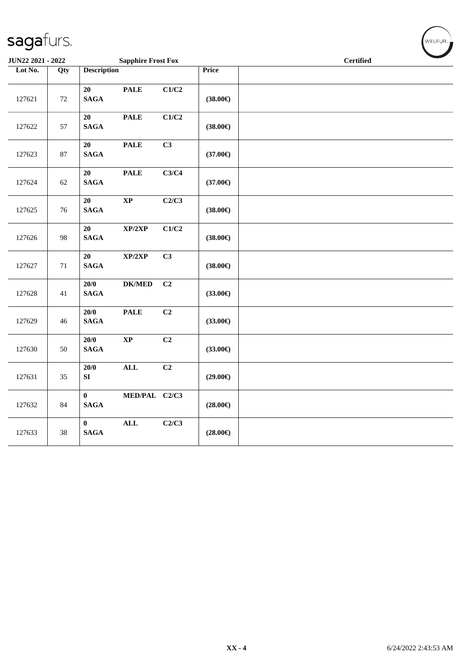| JUN22 2021 - 2022 |        |                             | <b>Sapphire Frost Fox</b>          |                |                   | <b>Certified</b> |  |  |  |
|-------------------|--------|-----------------------------|------------------------------------|----------------|-------------------|------------------|--|--|--|
| Lot No.           | Qty    | <b>Description</b>          |                                    |                | Price             |                  |  |  |  |
| 127621            | $72\,$ | 20<br>$\mathbf{SAGA}$       | $\ensuremath{\mathbf{PAL}}\xspace$ | C1/C2          | $(38.00\in)$      |                  |  |  |  |
| 127622            | 57     | 20<br><b>SAGA</b>           | <b>PALE</b>                        | C1/C2          | $(38.00\epsilon)$ |                  |  |  |  |
| 127623            | 87     | 20<br>$\mathbf{SAGA}$       | <b>PALE</b>                        | C <sub>3</sub> | $(37.00\epsilon)$ |                  |  |  |  |
| 127624            | 62     | 20<br>$\mathbf{SAGA}$       | <b>PALE</b>                        | C3/C4          | $(37.00\epsilon)$ |                  |  |  |  |
| 127625            | 76     | 20<br><b>SAGA</b>           | $\bold{XP}$                        | C2/C3          | $(38.00\epsilon)$ |                  |  |  |  |
| 127626            | 98     | 20<br>$\mathbf{SAGA}$       | XP/2XP                             | C1/C2          | $(38.00\in)$      |                  |  |  |  |
| 127627            | $71\,$ | 20<br><b>SAGA</b>           | XP/2XP                             | C3             | $(38.00\epsilon)$ |                  |  |  |  |
| 127628            | 41     | $20/0$<br>$\mathbf{SAGA}$   | $DK/MED$                           | C2             | $(33.00\epsilon)$ |                  |  |  |  |
| 127629            | 46     | 20/0<br><b>SAGA</b>         | <b>PALE</b>                        | C2             | $(33.00\epsilon)$ |                  |  |  |  |
| 127630            | 50     | 20/0<br>$\mathbf{SAGA}$     | $\mathbf{X}\mathbf{P}$             | C <sub>2</sub> | $(33.00\epsilon)$ |                  |  |  |  |
| 127631            | 35     | $20/0$<br>${\bf S}{\bf I}$  | $\mathbf{ALL}$                     | C2             | $(29.00\epsilon)$ |                  |  |  |  |
| 127632            | 84     | $\bf{0}$<br><b>SAGA</b>     | MED/PAL C2/C3                      |                | $(28.00\epsilon)$ |                  |  |  |  |
| 127633            | $38\,$ | $\mathbf{0}$<br><b>SAGA</b> | ALL                                | C2/C3          | $(28.00\epsilon)$ |                  |  |  |  |

WELFUR<sub>"</sub>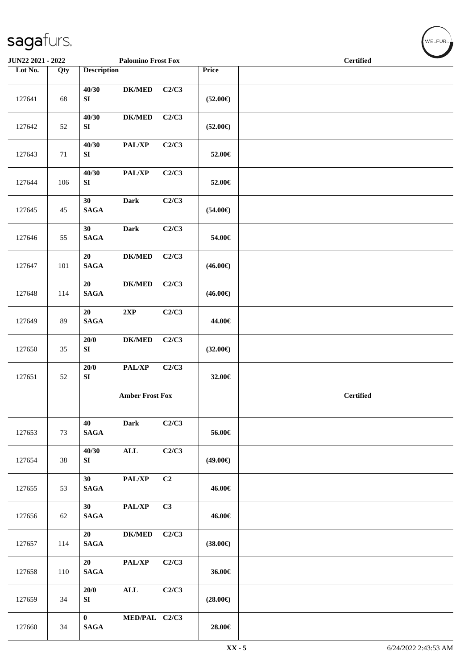| JUN22 2021 - 2022 |     |                                | <b>Palomino Frost Fox</b> |       |                   | <b>Certified</b> |
|-------------------|-----|--------------------------------|---------------------------|-------|-------------------|------------------|
| Lot No.           | Qty | <b>Description</b>             |                           |       | Price             |                  |
| 127641            | 68  | 40/30<br>${\bf S}{\bf I}$      | $DK/MED$                  | C2/C3 | $(52.00\epsilon)$ |                  |
| 127642            | 52  | 40/30<br>SI                    | <b>DK/MED</b>             | C2/C3 | $(52.00\epsilon)$ |                  |
| 127643            | 71  | 40/30<br>SI                    | PAL/XP                    | C2/C3 | 52.00€            |                  |
| 127644            | 106 | 40/30<br>SI                    | PAL/XP                    | C2/C3 | 52.00€            |                  |
| 127645            | 45  | 30<br><b>SAGA</b>              | <b>Dark</b>               | C2/C3 | $(54.00\epsilon)$ |                  |
| 127646            | 55  | 30<br>$\mathbf{SAGA}$          | <b>Dark</b>               | C2/C3 | 54.00€            |                  |
| 127647            | 101 | 20<br>$\mathbf{SAGA}$          | ${\bf DK/MED}$            | C2/C3 | $(46.00\epsilon)$ |                  |
| 127648            | 114 | 20<br>$\mathbf{SAGA}$          | $DK/MED$                  | C2/C3 | $(46.00\epsilon)$ |                  |
| 127649            | 89  | 20<br>$\mathbf{SAGA}$          | 2XP                       | C2/C3 | 44.00€            |                  |
| 127650            | 35  | 20/0<br>SI                     | <b>DK/MED</b>             | C2/C3 | $(32.00\epsilon)$ |                  |
| 127651            | 52  | 20/0<br>SI                     | PAL/XP                    | C2/C3 | 32.00€            |                  |
|                   |     |                                | <b>Amber Frost Fox</b>    |       |                   | <b>Certified</b> |
| 127653            | 73  | 40<br><b>SAGA</b>              | <b>Dark</b>               | C2/C3 | 56.00€            |                  |
| 127654            | 38  | 40/30<br>SI                    | $\mathbf{ALL}$            | C2/C3 | $(49.00\epsilon)$ |                  |
| 127655            | 53  | 30 <sup>°</sup><br><b>SAGA</b> | PAL/XP                    | C2    | 46.00€            |                  |
| 127656            | 62  | 30 <sup>°</sup><br><b>SAGA</b> | PAL/XP                    | C3    | 46.00€            |                  |
| 127657            | 114 | 20<br><b>SAGA</b>              | $DK/MED$                  | C2/C3 | $(38.00\epsilon)$ |                  |
| 127658            | 110 | 20<br><b>SAGA</b>              | PAL/XP                    | C2/C3 | 36.00€            |                  |
| 127659            | 34  | 20/0<br>SI                     | $\mathbf{ALL}$            | C2/C3 | $(28.00\epsilon)$ |                  |
| 127660            | 34  | $\mathbf{0}$<br><b>SAGA</b>    | MED/PAL C2/C3             |       | 28.00€            |                  |

WELFUR<sub>\*</sub>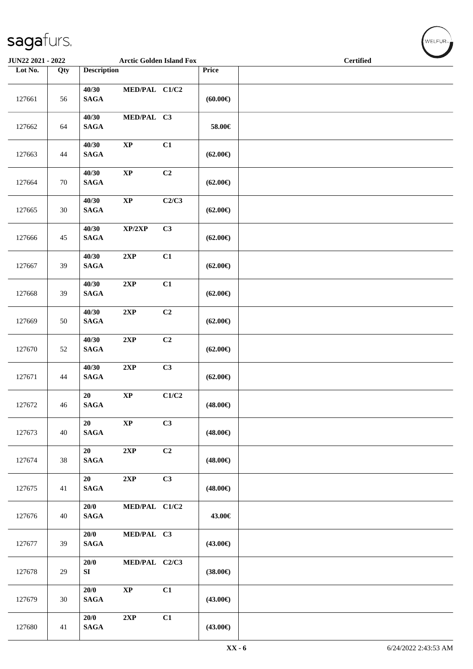| JUN22 2021 - 2022 |        |                          | <b>Arctic Golden Island Fox</b> |       |                   | <b>Certified</b> |
|-------------------|--------|--------------------------|---------------------------------|-------|-------------------|------------------|
| Lot No.           | Qty    | <b>Description</b>       |                                 |       | Price             |                  |
| 127661            | 56     | 40/30<br><b>SAGA</b>     | MED/PAL C1/C2                   |       | (60.00)           |                  |
| 127662            | 64     | 40/30<br>$\mathbf{SAGA}$ | MED/PAL C3                      |       | 58.00€            |                  |
| 127663            | 44     | 40/30<br><b>SAGA</b>     | $\bold{XP}$                     | C1    | $(62.00\epsilon)$ |                  |
| 127664            | 70     | 40/30<br><b>SAGA</b>     | $\bold{XP}$                     | C2    | $(62.00\epsilon)$ |                  |
| 127665            | $30\,$ | 40/30<br><b>SAGA</b>     | $\bold{XP}$                     | C2/C3 | $(62.00\epsilon)$ |                  |
| 127666            | 45     | 40/30<br><b>SAGA</b>     | XP/2XP                          | C3    | $(62.00\epsilon)$ |                  |
| 127667            | 39     | 40/30<br><b>SAGA</b>     | $2{\bf XP}$                     | C1    | $(62.00\epsilon)$ |                  |
| 127668            | 39     | 40/30<br><b>SAGA</b>     | $2{\bf XP}$                     | C1    | $(62.00\epsilon)$ |                  |
| 127669            | 50     | 40/30<br>$\mathbf{SAGA}$ | 2XP                             | C2    | $(62.00\epsilon)$ |                  |
| 127670            | 52     | 40/30<br>$\mathbf{SAGA}$ | 2XP                             | C2    | $(62.00\epsilon)$ |                  |
| 127671            | 44     | 40/30<br>$\mathbf{SAGA}$ | 2XP                             | C3    | $(62.00\epsilon)$ |                  |
| 127672            | 46     | 20<br><b>SAGA</b>        | $\bold{XP}$                     | C1/C2 | $(48.00\epsilon)$ |                  |
| 127673            | 40     | 20<br>$\mathbf{SAGA}$    | $\bold{XP}$                     | C3    | $(48.00\epsilon)$ |                  |
| 127674            | 38     | 20<br>$\mathbf{SAGA}$    | $2{\bf XP}$                     | C2    | $(48.00\epsilon)$ |                  |
| 127675            | 41     | 20<br>$\mathbf{SAGA}$    | 2XP                             | C3    | $(48.00\epsilon)$ |                  |
| 127676            | 40     | 20/0<br>$\mathbf{SAGA}$  | MED/PAL C1/C2                   |       | 43.00€            |                  |
| 127677            | 39     | 20/0<br>$\mathbf{SAGA}$  | MED/PAL C3                      |       | $(43.00\epsilon)$ |                  |
| 127678            | 29     | 20/0<br>SI               | MED/PAL C2/C3                   |       | $(38.00\epsilon)$ |                  |
| 127679            | 30     | 20/0<br>$\mathbf{SAGA}$  | $\mathbf{XP}$                   | C1    | $(43.00\epsilon)$ |                  |
| 127680            | 41     | 20/0<br>$\mathbf{SAGA}$  | $2{\bf XP}$                     | C1    | $(43.00\epsilon)$ |                  |

WELFUR<sub>"</sub>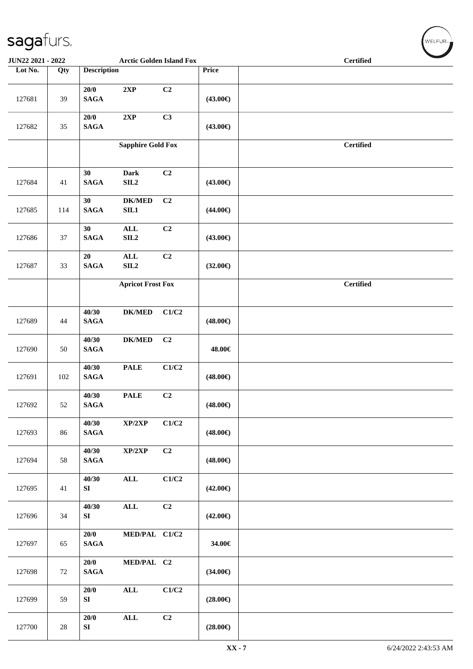| JUN22 2021 - 2022 |        |                          | <b>Arctic Golden Island Fox</b>    |       |                   | <b>Certified</b> |  |  |  |  |
|-------------------|--------|--------------------------|------------------------------------|-------|-------------------|------------------|--|--|--|--|
| Lot No.           | Qty    | <b>Description</b>       |                                    |       | Price             |                  |  |  |  |  |
| 127681            | 39     | 20/0<br><b>SAGA</b>      | 2XP                                | C2    | $(43.00\epsilon)$ |                  |  |  |  |  |
| 127682            | $35\,$ | $20/0$<br><b>SAGA</b>    | $2{\bf XP}$                        | C3    | $(43.00\epsilon)$ |                  |  |  |  |  |
|                   |        |                          | <b>Sapphire Gold Fox</b>           |       |                   | <b>Certified</b> |  |  |  |  |
| 127684            | 41     | 30<br><b>SAGA</b>        | Dark<br>SIL <sub>2</sub>           | C2    | $(43.00\epsilon)$ |                  |  |  |  |  |
| 127685            | 114    | 30<br><b>SAGA</b>        | <b>DK/MED</b><br>SL1               | C2    | $(44.00\epsilon)$ |                  |  |  |  |  |
| 127686            | 37     | 30<br><b>SAGA</b>        | $\mathbf{ALL}$<br>SIL <sub>2</sub> | C2    | $(43.00\epsilon)$ |                  |  |  |  |  |
| 127687            | 33     | $20\,$<br><b>SAGA</b>    | $\mathbf{ALL}$<br>SIL <sub>2</sub> | C2    | $(32.00\epsilon)$ |                  |  |  |  |  |
|                   |        |                          | <b>Apricot Frost Fox</b>           |       |                   | <b>Certified</b> |  |  |  |  |
| 127689            | 44     | 40/30<br><b>SAGA</b>     | $DK/MED$                           | C1/C2 | $(48.00\epsilon)$ |                  |  |  |  |  |
| 127690            | 50     | 40/30<br><b>SAGA</b>     | <b>DK/MED</b>                      | C2    | 48.00€            |                  |  |  |  |  |
| 127691            | 102    | 40/30<br><b>SAGA</b>     | <b>PALE</b>                        | C1/C2 | $(48.00\epsilon)$ |                  |  |  |  |  |
| 127692            | 52     | 40/30<br><b>SAGA</b>     | <b>PALE</b>                        | C2    | $(48.00\epsilon)$ |                  |  |  |  |  |
| 127693            | 86     | 40/30<br>$\mathbf{SAGA}$ | XP/2XP                             | C1/C2 | $(48.00\epsilon)$ |                  |  |  |  |  |
| 127694            | 58     | 40/30<br>$\mathbf{SAGA}$ | XP/2XP                             | C2    | $(48.00\epsilon)$ |                  |  |  |  |  |
| 127695            | 41     | 40/30<br>SI              | $\mathbf{ALL}$                     | C1/C2 | $(42.00\epsilon)$ |                  |  |  |  |  |
| 127696            | 34     | 40/30<br>SI              | $\mathbf{ALL}$                     | C2    | $(42.00\epsilon)$ |                  |  |  |  |  |
| 127697            | 65     | 20/0<br><b>SAGA</b>      | MED/PAL C1/C2                      |       | 34.00€            |                  |  |  |  |  |
| 127698            | 72     | 20/0<br><b>SAGA</b>      | MED/PAL C2                         |       | $(34.00\epsilon)$ |                  |  |  |  |  |
| 127699            | 59     | 20/0<br>SI               | $\mathbf{ALL}$                     | C1/C2 | $(28.00\epsilon)$ |                  |  |  |  |  |
| 127700            | $28\,$ | 20/0<br>SI               | $\mathbf{ALL}$                     | C2    | $(28.00\epsilon)$ |                  |  |  |  |  |

WELFUR<sub>T</sub>